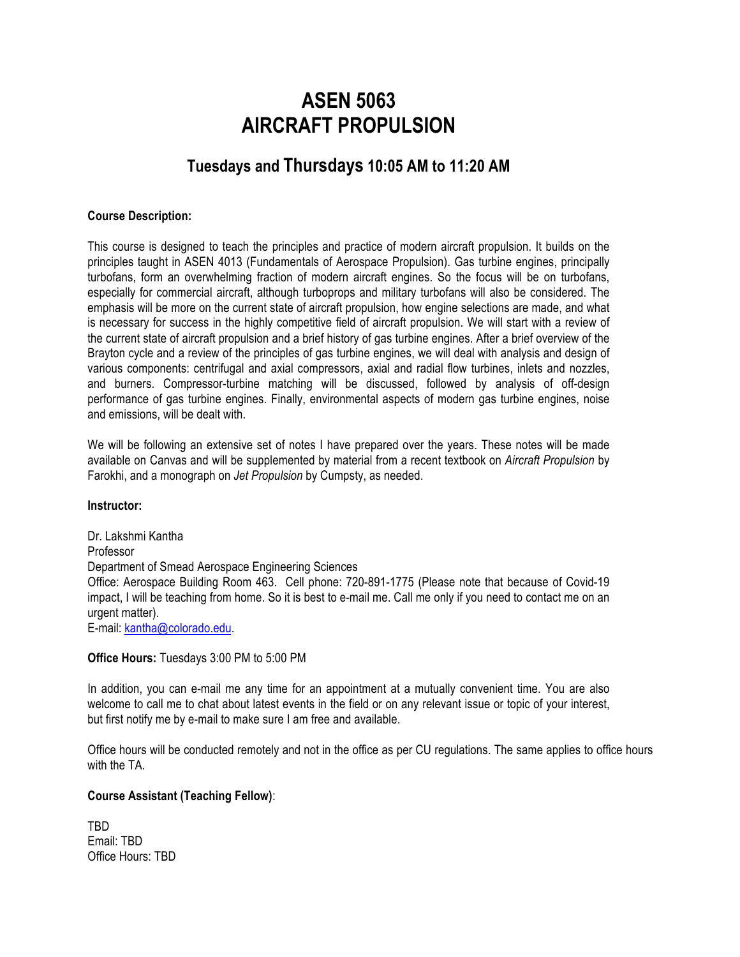# **ASEN 5063 AIRCRAFT PROPULSION**

# **Tuesdays and Thursdays 10:05 AM to 11:20 AM**

### **Course Description:**

This course is designed to teach the principles and practice of modern aircraft propulsion. It builds on the principles taught in ASEN 4013 (Fundamentals of Aerospace Propulsion). Gas turbine engines, principally turbofans, form an overwhelming fraction of modern aircraft engines. So the focus will be on turbofans, especially for commercial aircraft, although turboprops and military turbofans will also be considered. The emphasis will be more on the current state of aircraft propulsion, how engine selections are made, and what is necessary for success in the highly competitive field of aircraft propulsion. We will start with a review of the current state of aircraft propulsion and a brief history of gas turbine engines. After a brief overview of the Brayton cycle and a review of the principles of gas turbine engines, we will deal with analysis and design of various components: centrifugal and axial compressors, axial and radial flow turbines, inlets and nozzles, and burners. Compressor-turbine matching will be discussed, followed by analysis of off-design performance of gas turbine engines. Finally, environmental aspects of modern gas turbine engines, noise and emissions, will be dealt with.

We will be following an extensive set of notes I have prepared over the years. These notes will be made available on Canvas and will be supplemented by material from a recent textbook on *Aircraft Propulsion* by Farokhi, and a monograph on *Jet Propulsion* by Cumpsty, as needed.

### **Instructor:**

Dr. Lakshmi Kantha Professor Department of Smead Aerospace Engineering Sciences Office: Aerospace Building Room 463. Cell phone: 720-891-1775 (Please note that because of Covid-19 impact, I will be teaching from home. So it is best to e-mail me. Call me only if you need to contact me on an urgent matter). E-mail: kantha@colorado.edu.

#### **Office Hours:** Tuesdays 3:00 PM to 5:00 PM

In addition, you can e-mail me any time for an appointment at a mutually convenient time. You are also welcome to call me to chat about latest events in the field or on any relevant issue or topic of your interest, but first notify me by e-mail to make sure I am free and available.

Office hours will be conducted remotely and not in the office as per CU regulations. The same applies to office hours with the TA.

### **Course Assistant (Teaching Fellow)**:

TBD Email: TBD Office Hours: TBD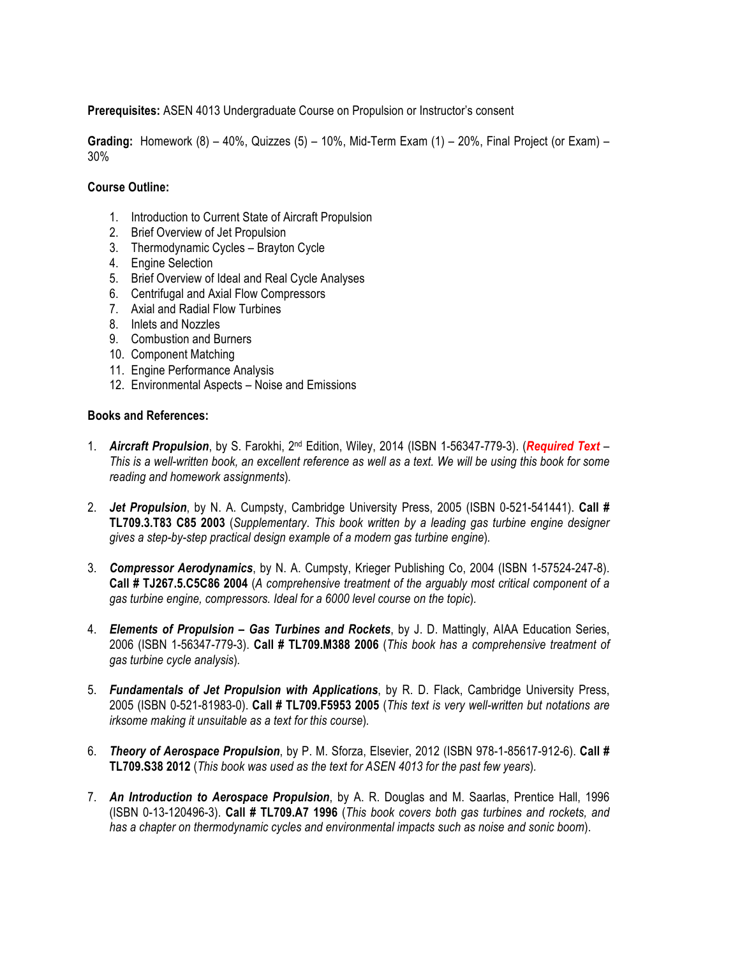**Prerequisites:** ASEN 4013 Undergraduate Course on Propulsion or Instructor's consent

**Grading:** Homework (8) – 40%, Quizzes (5) – 10%, Mid-Term Exam (1) – 20%, Final Project (or Exam) – 30%

### **Course Outline:**

- 1. Introduction to Current State of Aircraft Propulsion
- 2. Brief Overview of Jet Propulsion
- 3. Thermodynamic Cycles Brayton Cycle
- 4. Engine Selection
- 5. Brief Overview of Ideal and Real Cycle Analyses
- 6. Centrifugal and Axial Flow Compressors
- 7. Axial and Radial Flow Turbines
- 8. Inlets and Nozzles
- 9. Combustion and Burners
- 10. Component Matching
- 11. Engine Performance Analysis
- 12. Environmental Aspects Noise and Emissions

### **Books and References:**

- 1. *Aircraft Propulsion*, by S. Farokhi, 2nd Edition, Wiley, 2014 (ISBN 1-56347-779-3). (*Required Text This is a well-written book, an excellent reference as well as a text. We will be using this book for some reading and homework assignments*)*.*
- 2. *Jet Propulsion*, by N. A. Cumpsty, Cambridge University Press, 2005 (ISBN 0-521-541441). **Call # TL709.3.T83 C85 2003** (*Supplementary*. *This book written by a leading gas turbine engine designer gives a step-by-step practical design example of a modern gas turbine engine*)*.*
- 3. *Compressor Aerodynamics*, by N. A. Cumpsty, Krieger Publishing Co, 2004 (ISBN 1-57524-247-8). **Call # TJ267.5.C5C86 2004** (*A comprehensive treatment of the arguably most critical component of a gas turbine engine, compressors. Ideal for a 6000 level course on the topic*)*.*
- 4. *Elements of Propulsion – Gas Turbines and Rockets*, by J. D. Mattingly, AIAA Education Series, 2006 (ISBN 1-56347-779-3). **Call # TL709.M388 2006** (*This book has a comprehensive treatment of gas turbine cycle analysis*)*.*
- 5. *Fundamentals of Jet Propulsion with Applications*, by R. D. Flack, Cambridge University Press, 2005 (ISBN 0-521-81983-0). **Call # TL709.F5953 2005** (*This text is very well-written but notations are irksome making it unsuitable as a text for this course*)*.*
- 6. *Theory of Aerospace Propulsion*, by P. M. Sforza, Elsevier, 2012 (ISBN 978-1-85617-912-6). **Call # TL709.S38 2012** (*This book was used as the text for ASEN 4013 for the past few years*)*.*
- 7. *An Introduction to Aerospace Propulsion*, by A. R. Douglas and M. Saarlas, Prentice Hall, 1996 (ISBN 0-13-120496-3). **Call # TL709.A7 1996** (*This book covers both gas turbines and rockets, and has a chapter on thermodynamic cycles and environmental impacts such as noise and sonic boom*).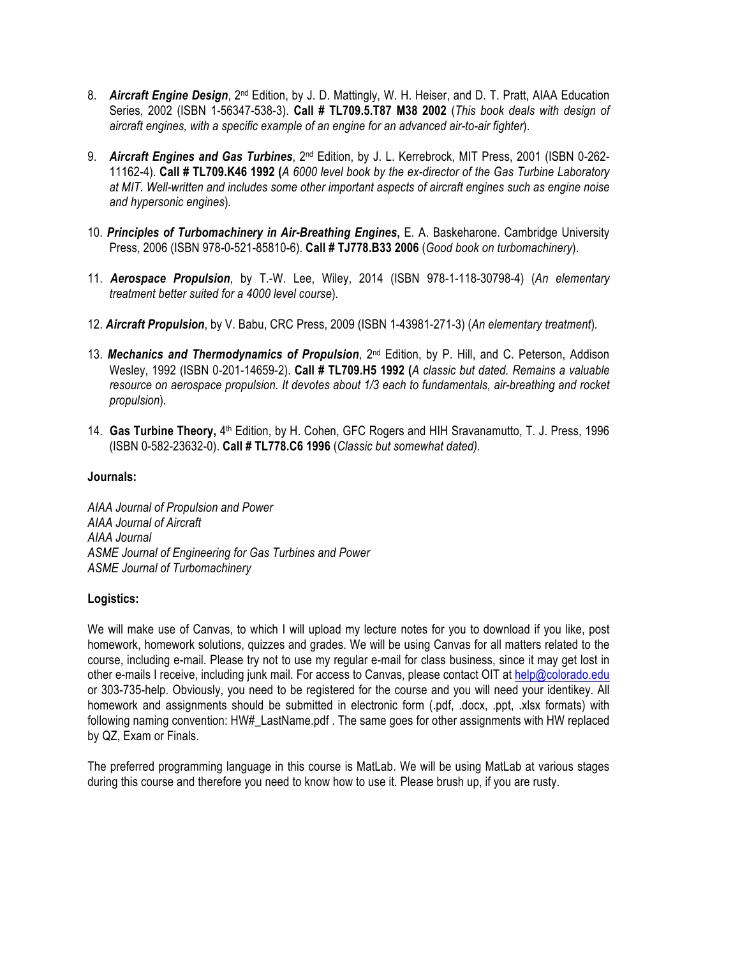- 8. **Aircraft Engine Design**, 2<sup>nd</sup> Edition, by J. D. Mattingly, W. H. Heiser, and D. T. Pratt, AIAA Education Series, 2002 (ISBN 1-56347-538-3). **Call # TL709.5.T87 M38 2002** (*This book deals with design of aircraft engines, with a specific example of an engine for an advanced air-to-air fighter*).
- 9. *Aircraft Engines and Gas Turbines*, 2nd Edition, by J. L. Kerrebrock, MIT Press, 2001 (ISBN 0-262- 11162-4). **Call # TL709.K46 1992 (***A 6000 level book by the ex-director of the Gas Turbine Laboratory at MIT. Well-written and includes some other important aspects of aircraft engines such as engine noise and hypersonic engines*)*.*
- 10. *Principles of Turbomachinery in Air-Breathing Engines***,** E. A. Baskeharone. Cambridge University Press, 2006 (ISBN 978-0-521-85810-6). **Call # TJ778.B33 2006** (*Good book on turbomachinery*).
- 11. *Aerospace Propulsion*, by T.-W. Lee, Wiley, 2014 (ISBN 978-1-118-30798-4) (*An elementary treatment better suited for a 4000 level course*)*.*
- 12. *Aircraft Propulsion*, by V. Babu, CRC Press, 2009 (ISBN 1-43981-271-3) (*An elementary treatment*)*.*
- 13. *Mechanics and Thermodynamics of Propulsion*, 2nd Edition, by P. Hill, and C. Peterson, Addison Wesley, 1992 (ISBN 0-201-14659-2). **Call # TL709.H5 1992 (***A classic but dated. Remains a valuable resource on aerospace propulsion. It devotes about 1/3 each to fundamentals, air-breathing and rocket propulsion*)*.*
- 14. **Gas Turbine Theory,** 4th Edition, by H. Cohen, GFC Rogers and HIH Sravanamutto, T. J. Press, 1996 (ISBN 0-582-23632-0). **Call # TL778.C6 1996** (*Classic but somewhat dated).*

### **Journals:**

*AIAA Journal of Propulsion and Power AIAA Journal of Aircraft AIAA Journal ASME Journal of Engineering for Gas Turbines and Power ASME Journal of Turbomachinery*

# **Logistics:**

We will make use of Canvas, to which I will upload my lecture notes for you to download if you like, post homework, homework solutions, quizzes and grades. We will be using Canvas for all matters related to the course, including e-mail. Please try not to use my regular e-mail for class business, since it may get lost in other e-mails I receive, including junk mail. For access to Canvas, please contact OIT at help@colorado.edu or 303-735-help. Obviously, you need to be registered for the course and you will need your identikey. All homework and assignments should be submitted in electronic form (.pdf, .docx, .ppt, .xlsx formats) with following naming convention: HW# LastName.pdf. The same goes for other assignments with HW replaced by QZ, Exam or Finals.

The preferred programming language in this course is MatLab. We will be using MatLab at various stages during this course and therefore you need to know how to use it. Please brush up, if you are rusty.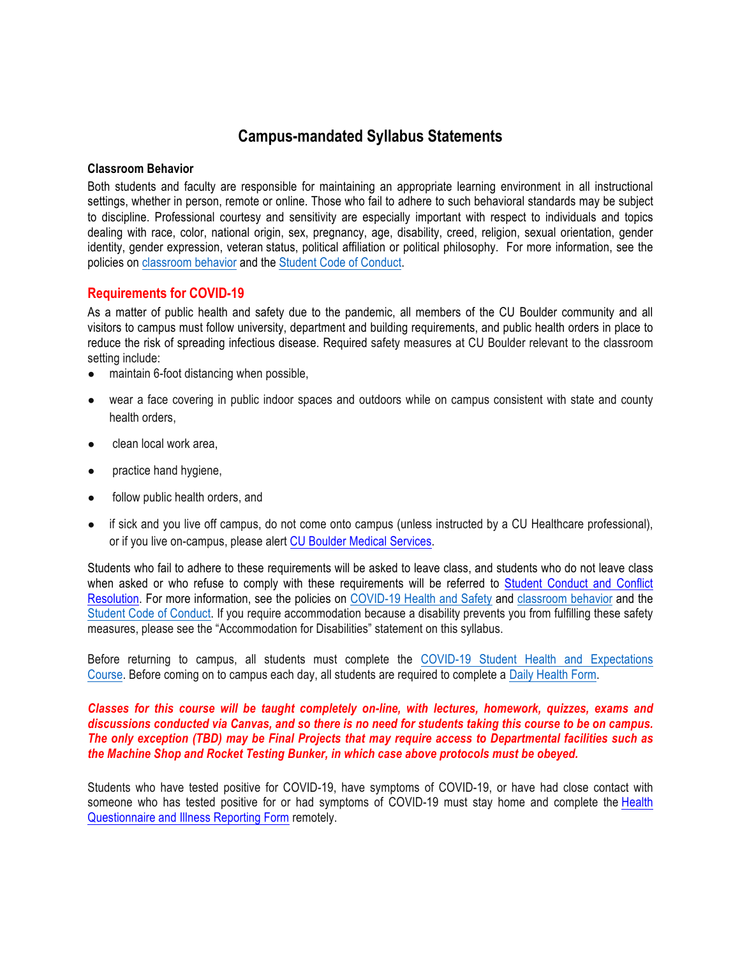# **Campus-mandated Syllabus Statements**

### **Classroom Behavior**

Both students and faculty are responsible for maintaining an appropriate learning environment in all instructional settings, whether in person, remote or online. Those who fail to adhere to such behavioral standards may be subject to discipline. Professional courtesy and sensitivity are especially important with respect to individuals and topics dealing with race, color, national origin, sex, pregnancy, age, disability, creed, religion, sexual orientation, gender identity, gender expression, veteran status, political affiliation or political philosophy. For more information, see the policies on classroom behavior and the Student Code of Conduct.

## **Requirements for COVID-19**

As a matter of public health and safety due to the pandemic, all members of the CU Boulder community and all visitors to campus must follow university, department and building requirements, and public health orders in place to reduce the risk of spreading infectious disease. Required safety measures at CU Boulder relevant to the classroom setting include:

- maintain 6-foot distancing when possible,
- wear a face covering in public indoor spaces and outdoors while on campus consistent with state and county health orders,
- clean local work area.
- practice hand hygiene,
- follow public health orders, and
- if sick and you live off campus, do not come onto campus (unless instructed by a CU Healthcare professional), or if you live on-campus, please alert CU Boulder Medical Services.

Students who fail to adhere to these requirements will be asked to leave class, and students who do not leave class when asked or who refuse to comply with these requirements will be referred to Student Conduct and Conflict Resolution. For more information, see the policies on COVID-19 Health and Safety and classroom behavior and the Student Code of Conduct. If you require accommodation because a disability prevents you from fulfilling these safety measures, please see the "Accommodation for Disabilities" statement on this syllabus.

Before returning to campus, all students must complete the COVID-19 Student Health and Expectations Course. Before coming on to campus each day, all students are required to complete a Daily Health Form.

### *Classes for this course will be taught completely on-line, with lectures, homework, quizzes, exams and discussions conducted via Canvas, and so there is no need for students taking this course to be on campus. The only exception (TBD) may be Final Projects that may require access to Departmental facilities such as the Machine Shop and Rocket Testing Bunker, in which case above protocols must be obeyed.*

Students who have tested positive for COVID-19, have symptoms of COVID-19, or have had close contact with someone who has tested positive for or had symptoms of COVID-19 must stay home and complete the Health Questionnaire and Illness Reporting Form remotely.